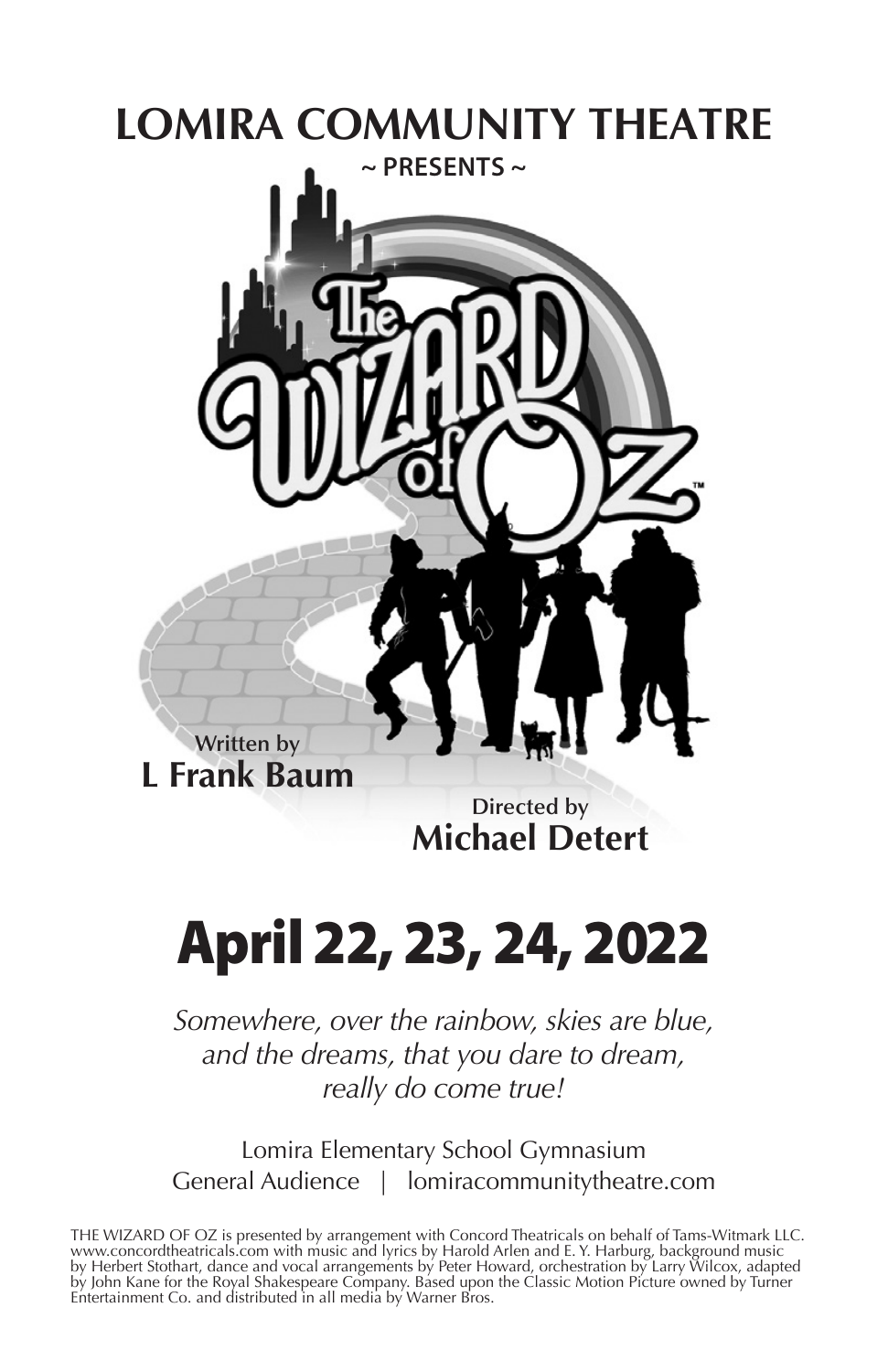

# April 22, 23, 24, 2022

*Somewhere, over the rainbow, skies are blue, and the dreams, that you dare to dream, really do come true!*

Lomira Elementary School Gymnasium General Audience | lomiracommunitytheatre.com

THE WIZARD OF OZ is presented by arrangement with Concord Theatricals on behalf of Tams-Witmark LLC.<br>www.concordtheatricals.com with music and lyrics by Harold Arlen and E. Y. Harburg, background music<br>by Herbert Stothart, by John Kane for the Royal Shakespeare Company. Based upon the Classic Motion Picture owned by Turner Entertainment Co. and distributed in all media by Warner Bros.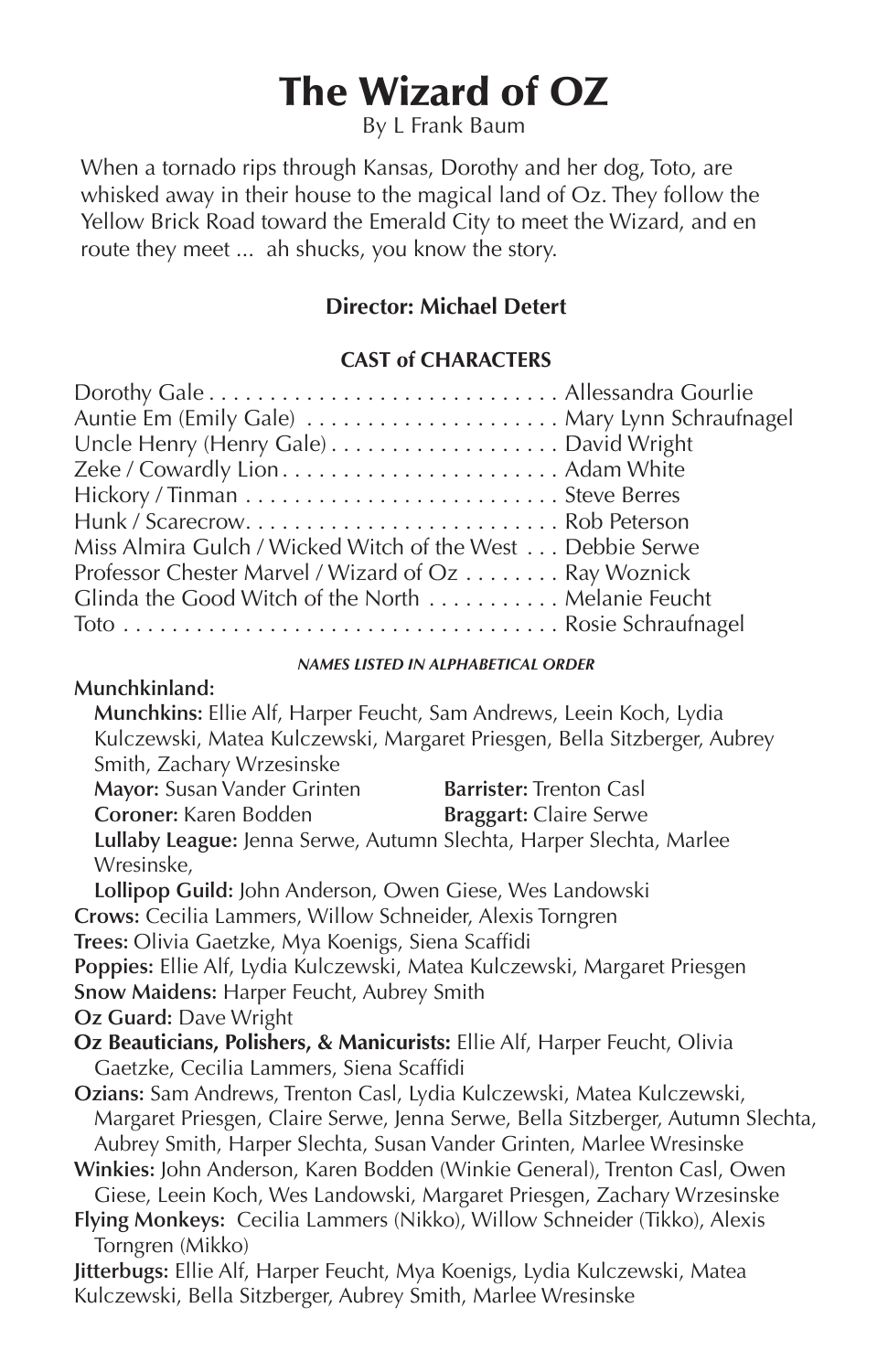# The Wizard of OZ

By L Frank Baum

When a tornado rips through Kansas, Dorothy and her dog, Toto, are whisked away in their house to the magical land of Oz. They follow the Yellow Brick Road toward the Emerald City to meet the Wizard, and en route they meet ... ah shucks, you know the story.

#### **Director: Michael Detert**

#### **CAST of CHARACTERS**

| Auntie Em (Emily Gale)  Mary Lynn Schraufnagel            |  |
|-----------------------------------------------------------|--|
| Uncle Henry (Henry Gale) David Wright                     |  |
|                                                           |  |
|                                                           |  |
|                                                           |  |
| Miss Almira Gulch / Wicked Witch of the West Debbie Serwe |  |
| Professor Chester Marvel / Wizard of Oz Ray Woznick       |  |
| Glinda the Good Witch of the North  Melanie Feucht        |  |
|                                                           |  |

#### *NAMES LISTED IN ALPHABETICAL ORDER*

#### **Munchkinland:**

**Munchkins:** Ellie Alf, Harper Feucht, Sam Andrews, Leein Koch, Lydia Kulczewski, Matea Kulczewski, Margaret Priesgen, Bella Sitzberger, Aubrey Smith, Zachary Wrzesinske **Mayor:** Susan Vander Grinten **Barrister:** Trenton Casl **Coroner:** Karen Bodden **Braggart:** Claire Serwe **Lullaby League:** Jenna Serwe, Autumn Slechta, Harper Slechta, Marlee Wresinske, **Lollipop Guild:** John Anderson, Owen Giese, Wes Landowski **Crows:** Cecilia Lammers, Willow Schneider, Alexis Torngren **Trees:** Olivia Gaetzke, Mya Koenigs, Siena Scaffidi **Poppies:** Ellie Alf, Lydia Kulczewski, Matea Kulczewski, Margaret Priesgen **Snow Maidens:** Harper Feucht, Aubrey Smith **Oz Guard:** Dave Wright **Oz Beauticians, Polishers, & Manicurists:** Ellie Alf, Harper Feucht, Olivia Gaetzke, Cecilia Lammers, Siena Scaffidi **Ozians:** Sam Andrews, Trenton Casl, Lydia Kulczewski, Matea Kulczewski, Margaret Priesgen, Claire Serwe, Jenna Serwe, Bella Sitzberger, Autumn Slechta, Aubrey Smith, Harper Slechta, Susan Vander Grinten, Marlee Wresinske **Winkies:** John Anderson, Karen Bodden (Winkie General), Trenton Casl, Owen Giese, Leein Koch, Wes Landowski, Margaret Priesgen, Zachary Wrzesinske **Flying Monkeys:** Cecilia Lammers (Nikko), Willow Schneider (Tikko), Alexis Torngren (Mikko) **Jitterbugs:** Ellie Alf, Harper Feucht, Mya Koenigs, Lydia Kulczewski, Matea Kulczewski, Bella Sitzberger, Aubrey Smith, Marlee Wresinske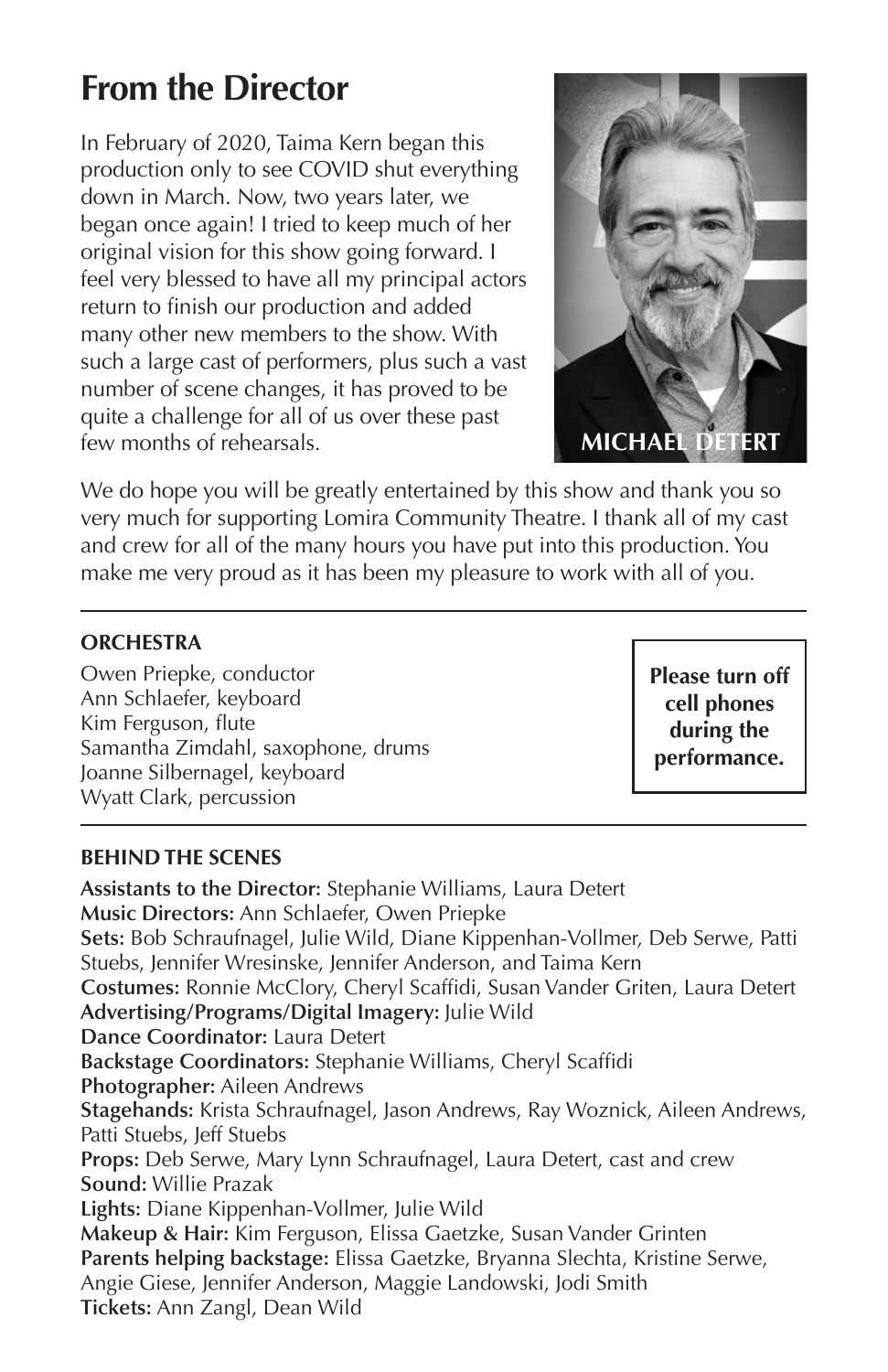# **From the Director**

In February of 2020, Taima Kern began this production only to see COVID shut everything down in March. Now, two years later, we began once again! I tried to keep much of her original vision for this show going forward. I feel very blessed to have all my principal actors return to finish our production and added many other new members to the show. With such a large cast of performers, plus such a vast number of scene changes, it has proved to be quite a challenge for all of us over these past few months of rehearsals.



We do hope you will be greatly entertained by this show and thank you so very much for supporting Lomira Community Theatre. I thank all of my cast and crew for all of the many hours you have put into this production. You make me very proud as it has been my pleasure to work with all of you.

#### **ORCHESTRA**

Owen Priepke, conductor Ann Schlaefer, keyboard Kim Ferguson, flute Samantha Zimdahl, saxophone, drums Joanne Silbernagel, keyboard Wyatt Clark, percussion

**Please turn off cell phones during the performance.**

#### **BEHIND THE SCENES**

**Assistants to the Director:** Stephanie Williams, Laura Detert **Music Directors:** Ann Schlaefer, Owen Priepke **Sets:** Bob Schraufnagel, Julie Wild, Diane Kippenhan-Vollmer, Deb Serwe, Patti Stuebs, Jennifer Wresinske, Jennifer Anderson, and Taima Kern **Costumes:** Ronnie McClory, Cheryl Scaffidi, Susan Vander Griten, Laura Detert **Advertising/Programs/Digital Imagery:** Julie Wild **Dance Coordinator:** Laura Detert **Backstage Coordinators:** Stephanie Williams, Cheryl Scaffidi **Photographer:** Aileen Andrews **Stagehands:** Krista Schraufnagel, Jason Andrews, Ray Woznick, Aileen Andrews, Patti Stuebs, Jeff Stuebs **Props:** Deb Serwe, Mary Lynn Schraufnagel, Laura Detert, cast and crew **Sound:** Willie Prazak **Lights:** Diane Kippenhan-Vollmer, Julie Wild **Makeup & Hair:** Kim Ferguson, Elissa Gaetzke, Susan Vander Grinten **Parents helping backstage:** Elissa Gaetzke, Bryanna Slechta, Kristine Serwe, Angie Giese, Jennifer Anderson, Maggie Landowski, Jodi Smith **Tickets:** Ann Zangl, Dean Wild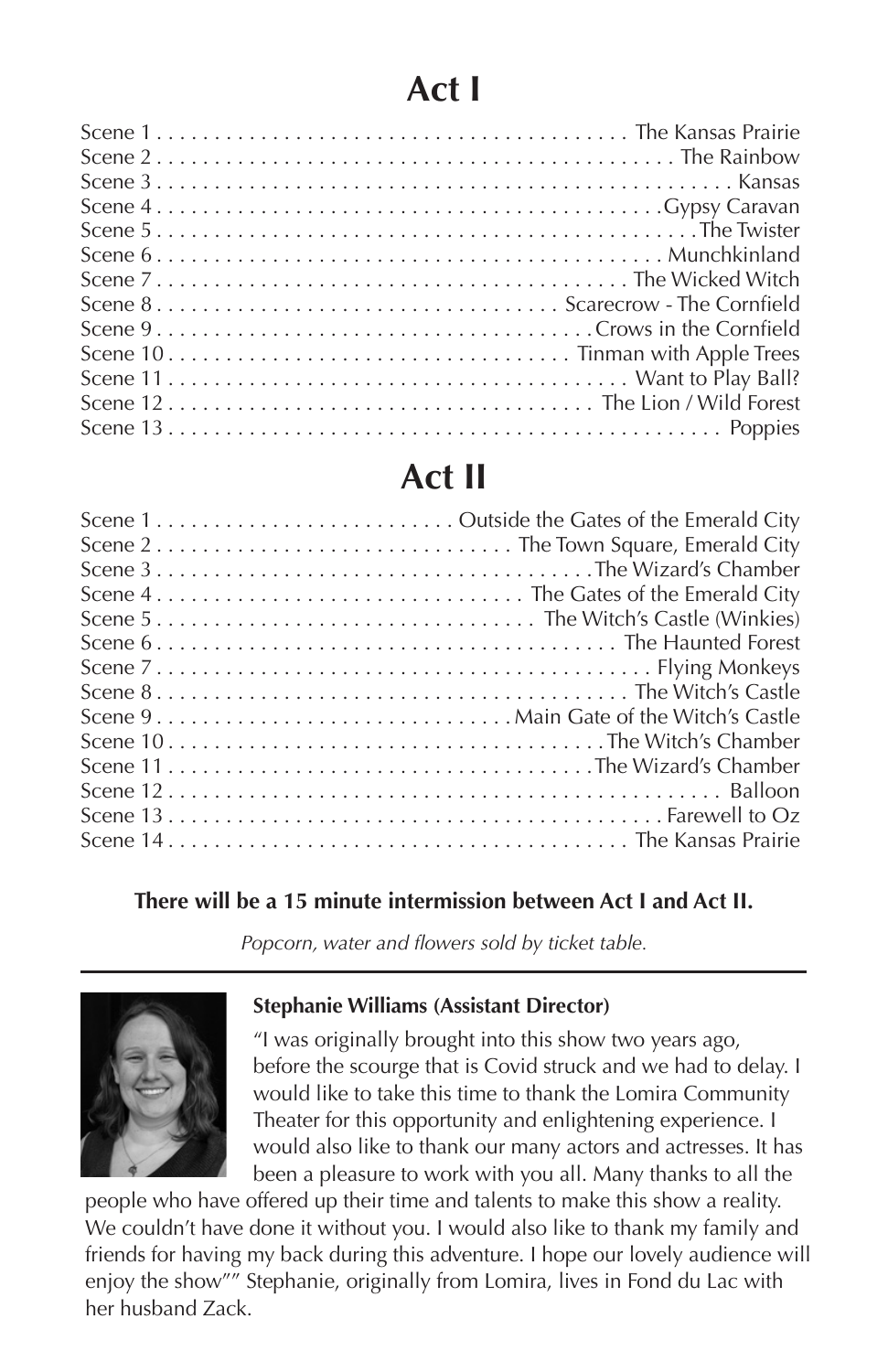### **Act I**

### **Act II**

#### **There will be a 15 minute intermission between Act I and Act II.**

*Popcorn, water and flowers sold by ticket table.*



#### **Stephanie Williams (Assistant Director)**

"I was originally brought into this show two years ago, before the scourge that is Covid struck and we had to delay. I would like to take this time to thank the Lomira Community Theater for this opportunity and enlightening experience. I would also like to thank our many actors and actresses. It has been a pleasure to work with you all. Many thanks to all the

people who have offered up their time and talents to make this show a reality. We couldn't have done it without you. I would also like to thank my family and friends for having my back during this adventure. I hope our lovely audience will enjoy the show"" Stephanie, originally from Lomira, lives in Fond du Lac with her husband Zack.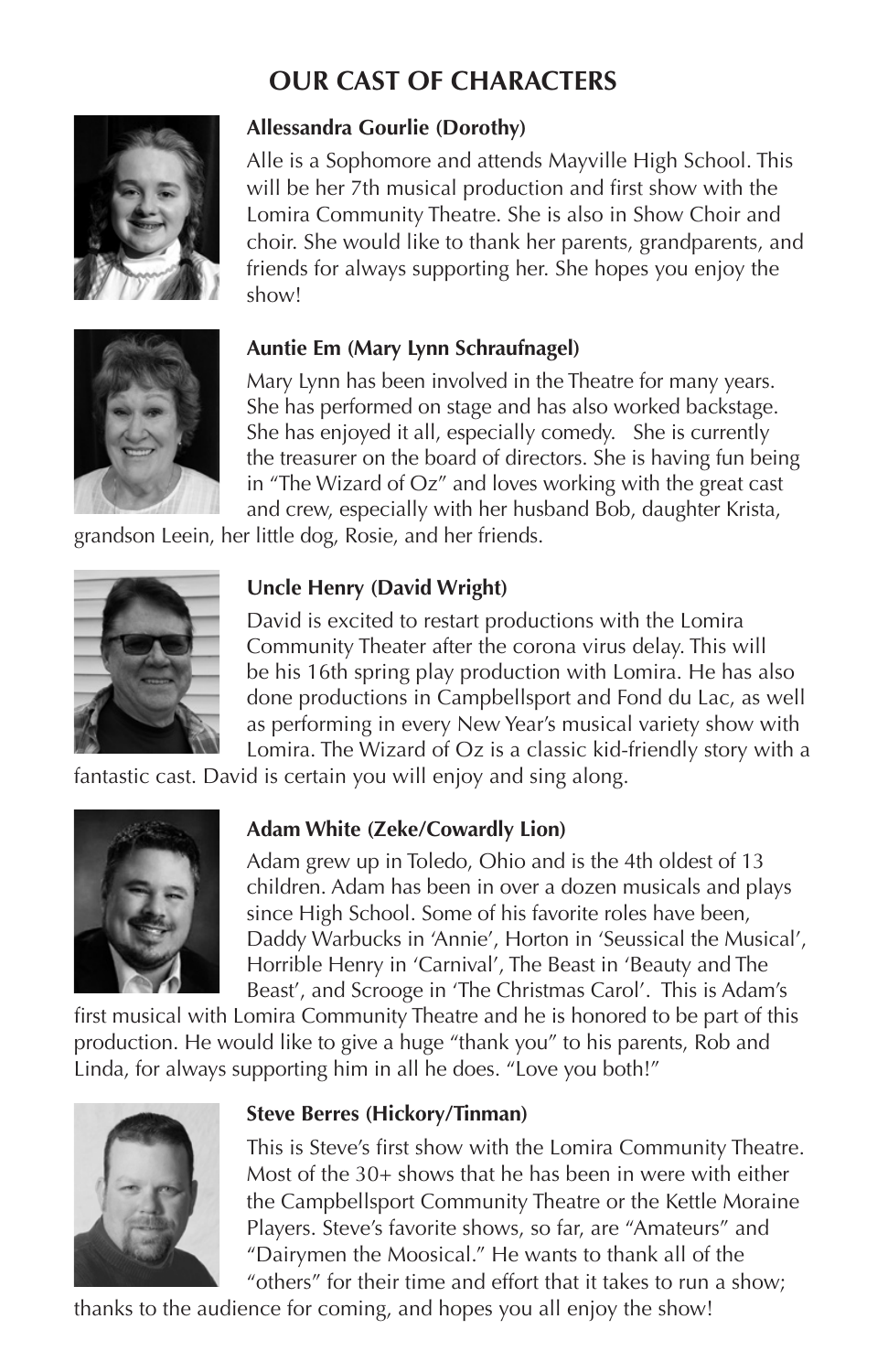### **OUR CAST OF CHARACTERS**



#### **Allessandra Gourlie (Dorothy)**

Alle is a Sophomore and attends Mayville High School. This will be her 7th musical production and first show with the Lomira Community Theatre. She is also in Show Choir and choir. She would like to thank her parents, grandparents, and friends for always supporting her. She hopes you enjoy the show!

#### **Auntie Em (Mary Lynn Schraufnagel)**



Mary Lynn has been involved in the Theatre for many years. She has performed on stage and has also worked backstage. She has enjoyed it all, especially comedy. She is currently the treasurer on the board of directors. She is having fun being in "The Wizard of Oz" and loves working with the great cast and crew, especially with her husband Bob, daughter Krista,

grandson Leein, her little dog, Rosie, and her friends.



#### **Uncle Henry (David Wright)**

David is excited to restart productions with the Lomira Community Theater after the corona virus delay. This will be his 16th spring play production with Lomira. He has also done productions in Campbellsport and Fond du Lac, as well as performing in every New Year's musical variety show with Lomira. The Wizard of Oz is a classic kid-friendly story with a

fantastic cast. David is certain you will enjoy and sing along.



#### **Adam White (Zeke/Cowardly Lion)**

Adam grew up in Toledo, Ohio and is the 4th oldest of 13 children. Adam has been in over a dozen musicals and plays since High School. Some of his favorite roles have been, Daddy Warbucks in 'Annie', Horton in 'Seussical the Musical', Horrible Henry in 'Carnival', The Beast in 'Beauty and The Beast', and Scrooge in 'The Christmas Carol'. This is Adam's

first musical with Lomira Community Theatre and he is honored to be part of this production. He would like to give a huge "thank you" to his parents, Rob and Linda, for always supporting him in all he does. "Love you both!"



#### **Steve Berres (Hickory/Tinman)**

This is Steve's first show with the Lomira Community Theatre. Most of the 30+ shows that he has been in were with either the Campbellsport Community Theatre or the Kettle Moraine Players. Steve's favorite shows, so far, are "Amateurs" and "Dairymen the Moosical." He wants to thank all of the "others" for their time and effort that it takes to run a show;

thanks to the audience for coming, and hopes you all enjoy the show!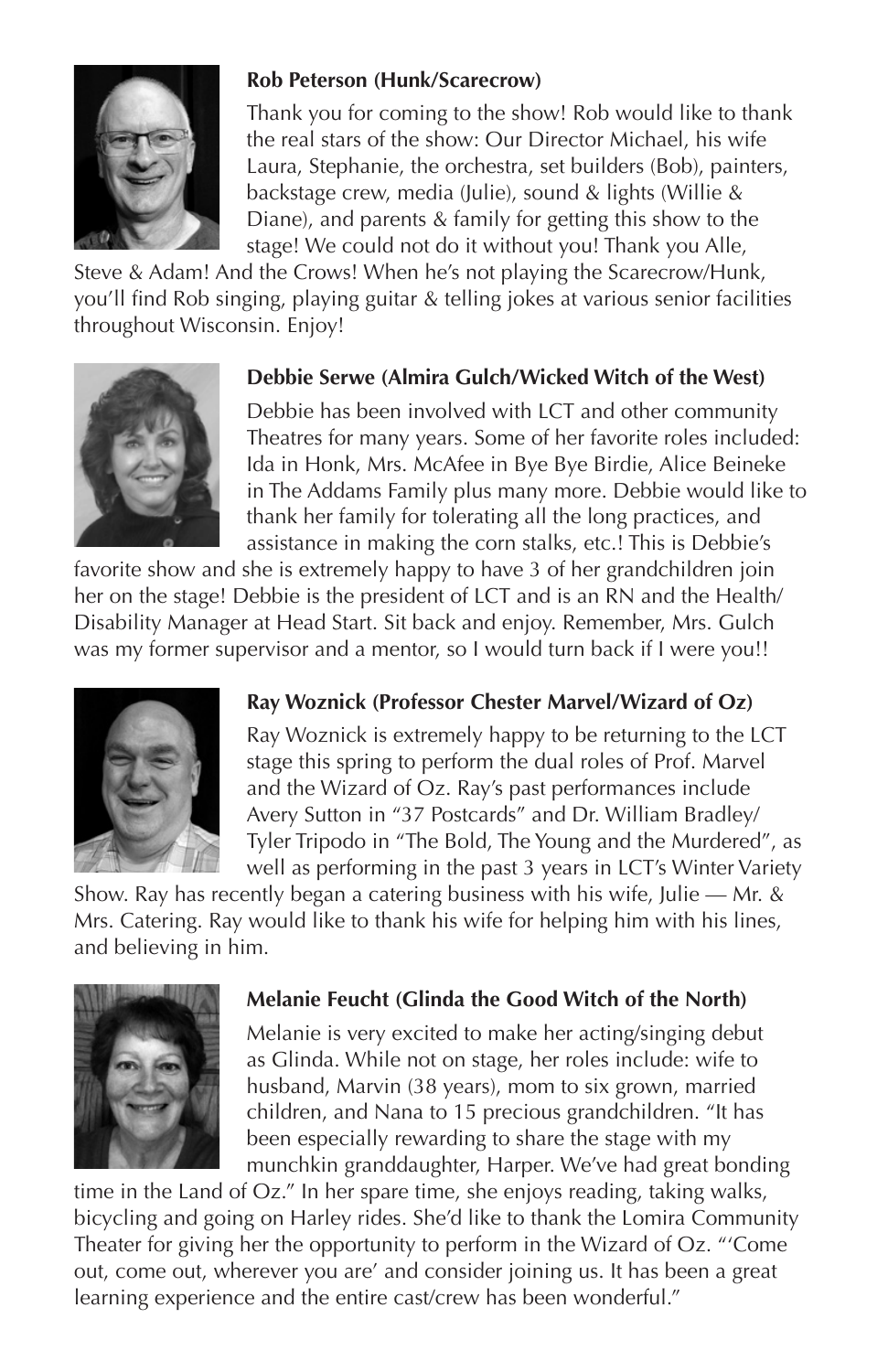

#### **Rob Peterson (Hunk/Scarecrow)**

Thank you for coming to the show! Rob would like to thank the real stars of the show: Our Director Michael, his wife Laura, Stephanie, the orchestra, set builders (Bob), painters, backstage crew, media (Julie), sound & lights (Willie & Diane), and parents & family for getting this show to the stage! We could not do it without you! Thank you Alle,

Steve & Adam! And the Crows! When he's not playing the Scarecrow/Hunk, you'll find Rob singing, playing guitar & telling jokes at various senior facilities throughout Wisconsin. Enjoy!



#### **Debbie Serwe (Almira Gulch/Wicked Witch of the West)**

Debbie has been involved with LCT and other community Theatres for many years. Some of her favorite roles included: Ida in Honk, Mrs. McAfee in Bye Bye Birdie, Alice Beineke in The Addams Family plus many more. Debbie would like to thank her family for tolerating all the long practices, and assistance in making the corn stalks, etc.! This is Debbie's

favorite show and she is extremely happy to have 3 of her grandchildren join her on the stage! Debbie is the president of LCT and is an RN and the Health/ Disability Manager at Head Start. Sit back and enjoy. Remember, Mrs. Gulch was my former supervisor and a mentor, so I would turn back if I were you!!



#### **Ray Woznick (Professor Chester Marvel/Wizard of Oz)**

Ray Woznick is extremely happy to be returning to the LCT stage this spring to perform the dual roles of Prof. Marvel and the Wizard of Oz. Ray's past performances include Avery Sutton in "37 Postcards" and Dr. William Bradley/ Tyler Tripodo in "The Bold, The Young and the Murdered", as well as performing in the past 3 years in LCT's Winter Variety

Show. Ray has recently began a catering business with his wife, Julie  $-$  Mr. & Mrs. Catering. Ray would like to thank his wife for helping him with his lines, and believing in him.



#### **Melanie Feucht (Glinda the Good Witch of the North)**

Melanie is very excited to make her acting/singing debut as Glinda. While not on stage, her roles include: wife to husband, Marvin (38 years), mom to six grown, married children, and Nana to 15 precious grandchildren. "It has been especially rewarding to share the stage with my munchkin granddaughter, Harper. We've had great bonding

time in the Land of Oz." In her spare time, she enjoys reading, taking walks, bicycling and going on Harley rides. She'd like to thank the Lomira Community Theater for giving her the opportunity to perform in the Wizard of Oz. "'Come out, come out, wherever you are' and consider joining us. It has been a great learning experience and the entire cast/crew has been wonderful."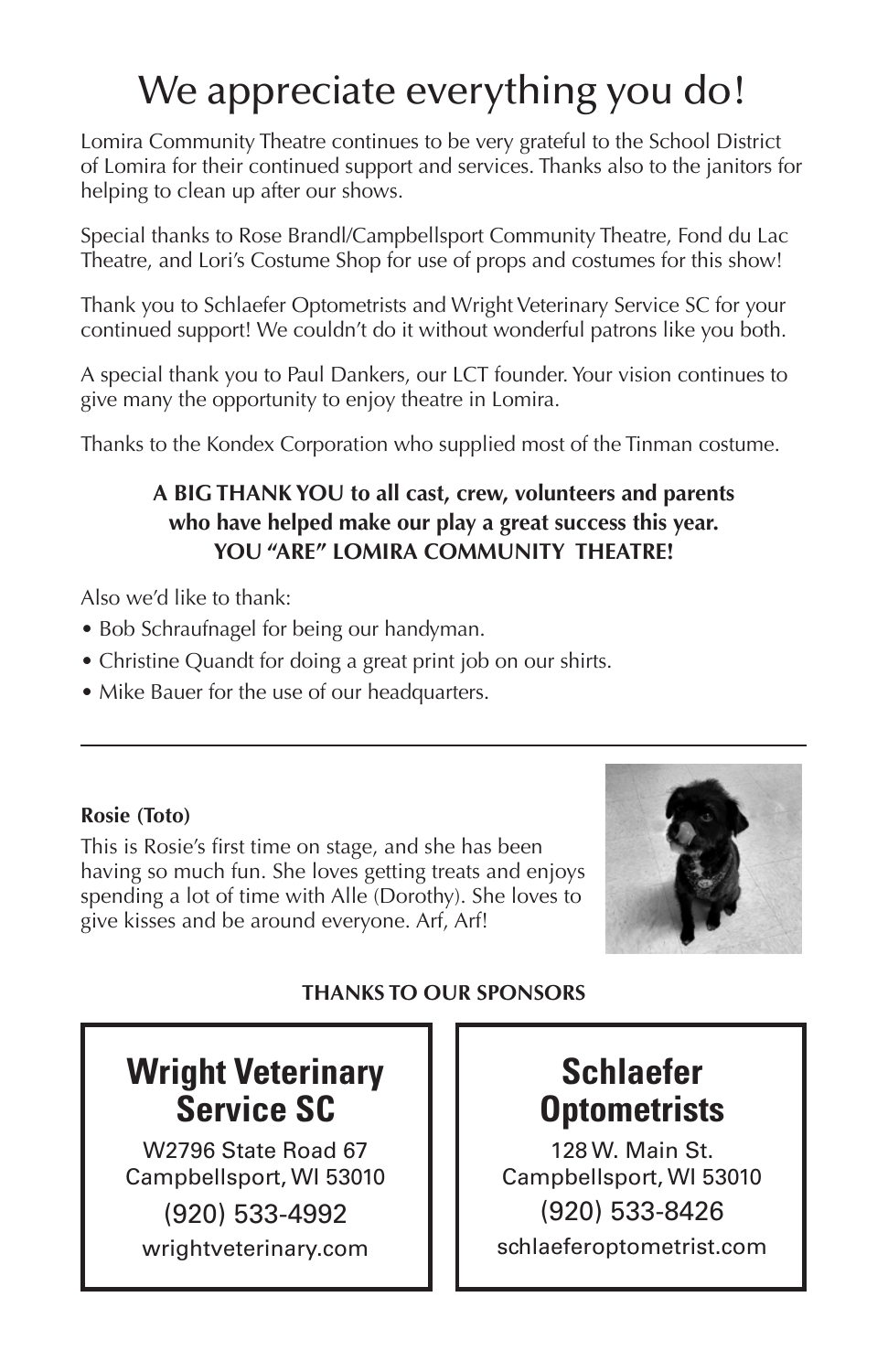# We appreciate everything you do!

Lomira Community Theatre continues to be very grateful to the School District of Lomira for their continued support and services. Thanks also to the janitors for helping to clean up after our shows.

Special thanks to Rose Brandl/Campbellsport Community Theatre, Fond du Lac Theatre, and Lori's Costume Shop for use of props and costumes for this show!

Thank you to Schlaefer Optometrists and Wright Veterinary Service SC for your continued support! We couldn't do it without wonderful patrons like you both.

A special thank you to Paul Dankers, our LCT founder. Your vision continues to give many the opportunity to enjoy theatre in Lomira.

Thanks to the Kondex Corporation who supplied most of the Tinman costume.

#### **A BIG THANK YOU to all cast, crew, volunteers and parents who have helped make our play a great success this year. YOU "ARE" LOMIRA COMMUNITY THEATRE!**

Also we'd like to thank:

- Bob Schraufnagel for being our handyman.
- Christine Quandt for doing a great print job on our shirts.
- Mike Bauer for the use of our headquarters.

#### **Rosie (Toto)**

This is Rosie's first time on stage, and she has been having so much fun. She loves getting treats and enjoys spending a lot of time with Alle (Dorothy). She loves to give kisses and be around everyone. Arf, Arf!



#### **THANKS TO OUR SPONSORS**

### **Wright Veterinary Service SC**

W2796 State Road 67 Campbellsport, WI 53010 (920) 533-4992 wrightveterinary.com

### **Schlaefer Optometrists**

128 W. Main St. Campbellsport, WI 53010 (920) 533-8426 schlaeferoptometrist.com